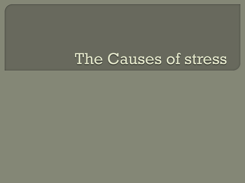## The Causes of stress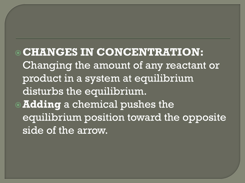**CHANGES IN CONCENTRATION:** Changing the amount of any reactant or product in a system at equilibrium disturbs the equilibrium. **Adding** a chemical pushes the equilibrium position toward the opposite side of the arrow.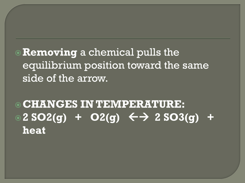**Removing** a chemical pulls the equilibrium position toward the same side of the arrow.

**CHANGES IN TEMPERATURE:**   $2$  SO2(g) + O2(g)  $\leftarrow$   $\rightarrow$  2 SO3(g) + **heat**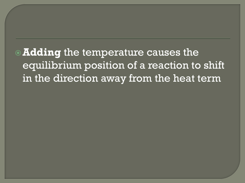**Adding** the temperature causes the equilibrium position of a reaction to shift in the direction away from the heat term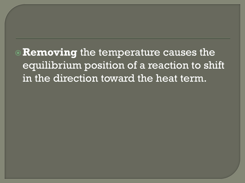**Removing** the temperature causes the equilibrium position of a reaction to shift in the direction toward the heat term.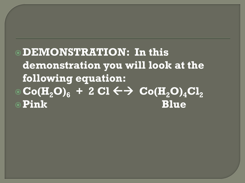**DEMONSTRATION: In this demonstration you will look at the following equation:**  $\odot$  **Co**(H<sub>2</sub>**O**)<sub>6</sub> + 2 Cl  $\leftarrow$   $\rightarrow$  Co(H<sub>2</sub>**O**)<sub>4</sub>Cl<sub>2</sub> **Pink Blue**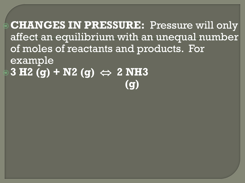**CHANGES IN PRESSURE:** Pressure will only affect an equilibrium with an unequal number of moles of reactants and products. For example **3 H2 (g) + N2 (g) 2 NH3 (g)**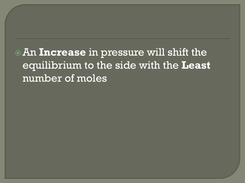An **Increase** in pressure will shift the equilibrium to the side with the **Least** number of moles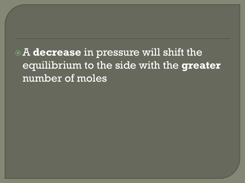A **decrease** in pressure will shift the equilibrium to the side with the **greater** number of moles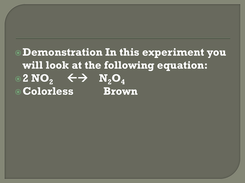## **Demonstration In this experiment you will look at the following equation:**  $\overline{O_2 \times 100}$   $\overline{O_2 \times 100}$   $\overline{O_4 \times 100}$ **Colorless Brown**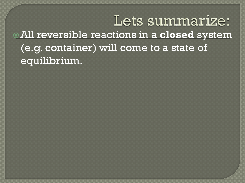Lets summarize: All reversible reactions in a **closed** system (e.g. container) will come to a state of equilibrium.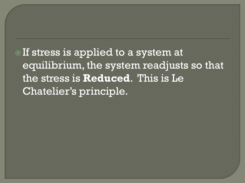**The If stress is applied to a system at** equilibrium, the system readjusts so that the stress is **Reduced**. This is Le Chatelier's principle.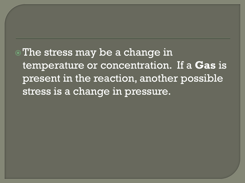The stress may be a change in temperature or concentration. If a **Gas** is present in the reaction, another possible stress is a change in pressure.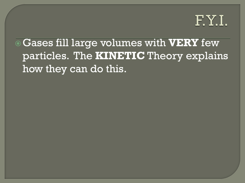

Gases fill large volumes with **VERY** few particles. The **KINETIC** Theory explains how they can do this.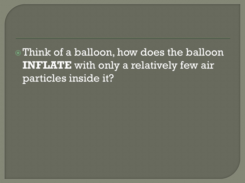Think of a balloon, how does the balloon **INFLATE** with only a relatively few air particles inside it?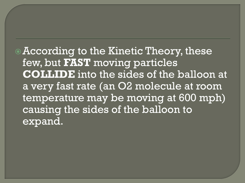According to the Kinetic Theory, these few, but **FAST** moving particles **COLLIDE** into the sides of the balloon at a very fast rate (an O2 molecule at room temperature may be moving at 600 mph) causing the sides of the balloon to expand.